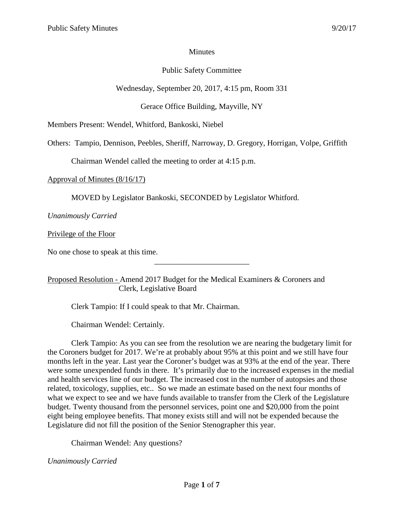## **Minutes**

# Public Safety Committee

Wednesday, September 20, 2017, 4:15 pm, Room 331

Gerace Office Building, Mayville, NY

Members Present: Wendel, Whitford, Bankoski, Niebel

Others: Tampio, Dennison, Peebles, Sheriff, Narroway, D. Gregory, Horrigan, Volpe, Griffith

Chairman Wendel called the meeting to order at 4:15 p.m.

Approval of Minutes (8/16/17)

MOVED by Legislator Bankoski, SECONDED by Legislator Whitford.

*Unanimously Carried*

Privilege of the Floor

No one chose to speak at this time.

Proposed Resolution - Amend 2017 Budget for the Medical Examiners & Coroners and Clerk, Legislative Board

\_\_\_\_\_\_\_\_\_\_\_\_\_\_\_\_\_\_\_\_\_\_\_\_

Clerk Tampio: If I could speak to that Mr. Chairman.

Chairman Wendel: Certainly.

Clerk Tampio: As you can see from the resolution we are nearing the budgetary limit for the Coroners budget for 2017. We're at probably about 95% at this point and we still have four months left in the year. Last year the Coroner's budget was at 93% at the end of the year. There were some unexpended funds in there. It's primarily due to the increased expenses in the medial and health services line of our budget. The increased cost in the number of autopsies and those related, toxicology, supplies, etc.. So we made an estimate based on the next four months of what we expect to see and we have funds available to transfer from the Clerk of the Legislature budget. Twenty thousand from the personnel services, point one and \$20,000 from the point eight being employee benefits. That money exists still and will not be expended because the Legislature did not fill the position of the Senior Stenographer this year.

Chairman Wendel: Any questions?

*Unanimously Carried*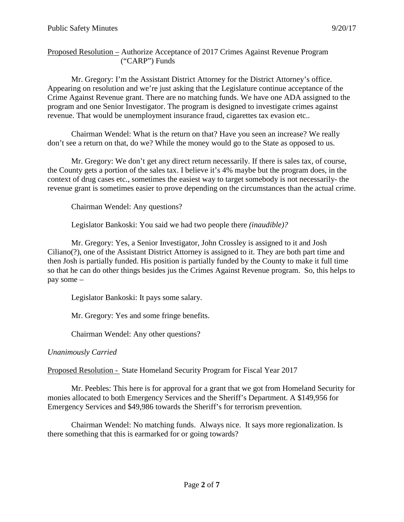Proposed Resolution – Authorize Acceptance of 2017 Crimes Against Revenue Program ("CARP") Funds

Mr. Gregory: I'm the Assistant District Attorney for the District Attorney's office. Appearing on resolution and we're just asking that the Legislature continue acceptance of the Crime Against Revenue grant. There are no matching funds. We have one ADA assigned to the program and one Senior Investigator. The program is designed to investigate crimes against revenue. That would be unemployment insurance fraud, cigarettes tax evasion etc..

Chairman Wendel: What is the return on that? Have you seen an increase? We really don't see a return on that, do we? While the money would go to the State as opposed to us.

Mr. Gregory: We don't get any direct return necessarily. If there is sales tax, of course, the County gets a portion of the sales tax. I believe it's 4% maybe but the program does, in the context of drug cases etc., sometimes the easiest way to target somebody is not necessarily- the revenue grant is sometimes easier to prove depending on the circumstances than the actual crime.

Chairman Wendel: Any questions?

Legislator Bankoski: You said we had two people there *(inaudible)?*

Mr. Gregory: Yes, a Senior Investigator, John Crossley is assigned to it and Josh Ciliano(?), one of the Assistant District Attorney is assigned to it. They are both part time and then Josh is partially funded. His position is partially funded by the County to make it full time so that he can do other things besides jus the Crimes Against Revenue program. So, this helps to pay some –

Legislator Bankoski: It pays some salary.

Mr. Gregory: Yes and some fringe benefits.

Chairman Wendel: Any other questions?

*Unanimously Carried*

Proposed Resolution - State Homeland Security Program for Fiscal Year 2017

Mr. Peebles: This here is for approval for a grant that we got from Homeland Security for monies allocated to both Emergency Services and the Sheriff's Department. A \$149,956 for Emergency Services and \$49,986 towards the Sheriff's for terrorism prevention.

Chairman Wendel: No matching funds. Always nice. It says more regionalization. Is there something that this is earmarked for or going towards?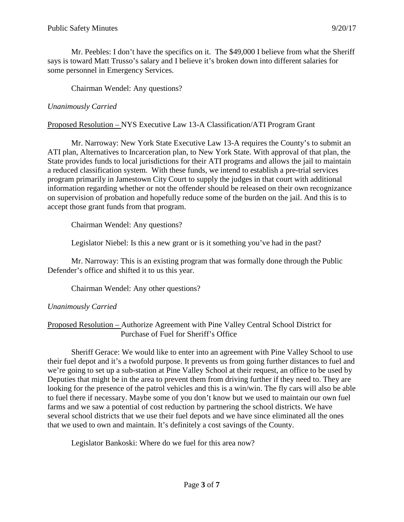Mr. Peebles: I don't have the specifics on it. The \$49,000 I believe from what the Sheriff says is toward Matt Trusso's salary and I believe it's broken down into different salaries for some personnel in Emergency Services.

Chairman Wendel: Any questions?

## *Unanimously Carried*

## Proposed Resolution – NYS Executive Law 13-A Classification/ATI Program Grant

Mr. Narroway: New York State Executive Law 13-A requires the County's to submit an ATI plan, Alternatives to Incarceration plan, to New York State. With approval of that plan, the State provides funds to local jurisdictions for their ATI programs and allows the jail to maintain a reduced classification system. With these funds, we intend to establish a pre-trial services program primarily in Jamestown City Court to supply the judges in that court with additional information regarding whether or not the offender should be released on their own recognizance on supervision of probation and hopefully reduce some of the burden on the jail. And this is to accept those grant funds from that program.

Chairman Wendel: Any questions?

Legislator Niebel: Is this a new grant or is it something you've had in the past?

Mr. Narroway: This is an existing program that was formally done through the Public Defender's office and shifted it to us this year.

Chairman Wendel: Any other questions?

## *Unanimously Carried*

#### Proposed Resolution – Authorize Agreement with Pine Valley Central School District for Purchase of Fuel for Sheriff's Office

Sheriff Gerace: We would like to enter into an agreement with Pine Valley School to use their fuel depot and it's a twofold purpose. It prevents us from going further distances to fuel and we're going to set up a sub-station at Pine Valley School at their request, an office to be used by Deputies that might be in the area to prevent them from driving further if they need to. They are looking for the presence of the patrol vehicles and this is a win/win. The fly cars will also be able to fuel there if necessary. Maybe some of you don't know but we used to maintain our own fuel farms and we saw a potential of cost reduction by partnering the school districts. We have several school districts that we use their fuel depots and we have since eliminated all the ones that we used to own and maintain. It's definitely a cost savings of the County.

Legislator Bankoski: Where do we fuel for this area now?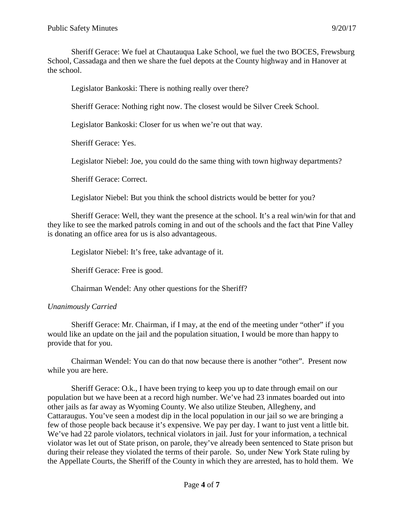Sheriff Gerace: We fuel at Chautauqua Lake School, we fuel the two BOCES, Frewsburg School, Cassadaga and then we share the fuel depots at the County highway and in Hanover at the school.

Legislator Bankoski: There is nothing really over there?

Sheriff Gerace: Nothing right now. The closest would be Silver Creek School.

Legislator Bankoski: Closer for us when we're out that way.

Sheriff Gerace: Yes.

Legislator Niebel: Joe, you could do the same thing with town highway departments?

Sheriff Gerace: Correct.

Legislator Niebel: But you think the school districts would be better for you?

Sheriff Gerace: Well, they want the presence at the school. It's a real win/win for that and they like to see the marked patrols coming in and out of the schools and the fact that Pine Valley is donating an office area for us is also advantageous.

Legislator Niebel: It's free, take advantage of it.

Sheriff Gerace: Free is good.

Chairman Wendel: Any other questions for the Sheriff?

## *Unanimously Carried*

Sheriff Gerace: Mr. Chairman, if I may, at the end of the meeting under "other" if you would like an update on the jail and the population situation, I would be more than happy to provide that for you.

Chairman Wendel: You can do that now because there is another "other". Present now while you are here.

Sheriff Gerace: O.k., I have been trying to keep you up to date through email on our population but we have been at a record high number. We've had 23 inmates boarded out into other jails as far away as Wyoming County. We also utilize Steuben, Allegheny, and Cattaraugus. You've seen a modest dip in the local population in our jail so we are bringing a few of those people back because it's expensive. We pay per day. I want to just vent a little bit. We've had 22 parole violators, technical violators in jail. Just for your information, a technical violator was let out of State prison, on parole, they've already been sentenced to State prison but during their release they violated the terms of their parole. So, under New York State ruling by the Appellate Courts, the Sheriff of the County in which they are arrested, has to hold them. We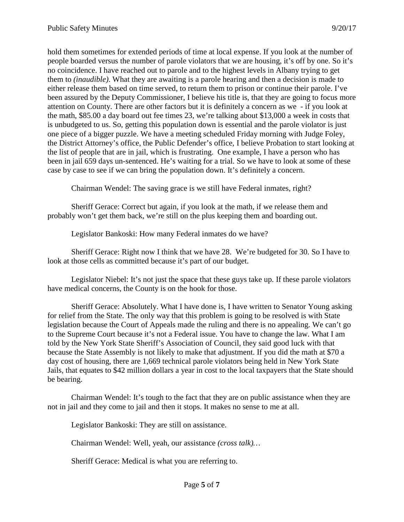hold them sometimes for extended periods of time at local expense. If you look at the number of people boarded versus the number of parole violators that we are housing, it's off by one. So it's no coincidence. I have reached out to parole and to the highest levels in Albany trying to get them to *(inaudible)*. What they are awaiting is a parole hearing and then a decision is made to either release them based on time served, to return them to prison or continue their parole. I've been assured by the Deputy Commissioner, I believe his title is, that they are going to focus more attention on County. There are other factors but it is definitely a concern as we - if you look at the math, \$85.00 a day board out fee times 23, we're talking about \$13,000 a week in costs that is unbudgeted to us. So, getting this population down is essential and the parole violator is just one piece of a bigger puzzle. We have a meeting scheduled Friday morning with Judge Foley, the District Attorney's office, the Public Defender's office, I believe Probation to start looking at the list of people that are in jail, which is frustrating. One example, I have a person who has been in jail 659 days un-sentenced. He's waiting for a trial. So we have to look at some of these case by case to see if we can bring the population down. It's definitely a concern.

Chairman Wendel: The saving grace is we still have Federal inmates, right?

Sheriff Gerace: Correct but again, if you look at the math, if we release them and probably won't get them back, we're still on the plus keeping them and boarding out.

Legislator Bankoski: How many Federal inmates do we have?

Sheriff Gerace: Right now I think that we have 28. We're budgeted for 30. So I have to look at those cells as committed because it's part of our budget.

Legislator Niebel: It's not just the space that these guys take up. If these parole violators have medical concerns, the County is on the hook for those.

Sheriff Gerace: Absolutely. What I have done is, I have written to Senator Young asking for relief from the State. The only way that this problem is going to be resolved is with State legislation because the Court of Appeals made the ruling and there is no appealing. We can't go to the Supreme Court because it's not a Federal issue. You have to change the law. What I am told by the New York State Sheriff's Association of Council, they said good luck with that because the State Assembly is not likely to make that adjustment. If you did the math at \$70 a day cost of housing, there are 1,669 technical parole violators being held in New York State Jails, that equates to \$42 million dollars a year in cost to the local taxpayers that the State should be bearing.

Chairman Wendel: It's tough to the fact that they are on public assistance when they are not in jail and they come to jail and then it stops. It makes no sense to me at all.

Legislator Bankoski: They are still on assistance.

Chairman Wendel: Well, yeah, our assistance *(cross talk)…*

Sheriff Gerace: Medical is what you are referring to.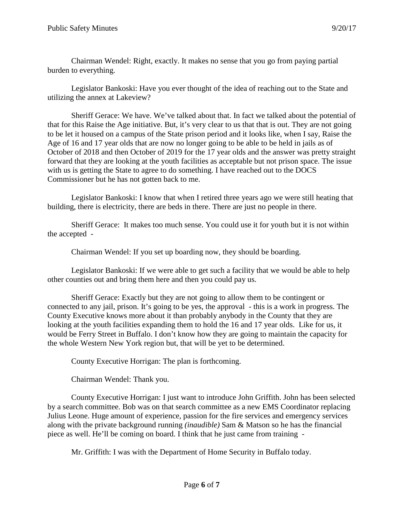Chairman Wendel: Right, exactly. It makes no sense that you go from paying partial burden to everything.

Legislator Bankoski: Have you ever thought of the idea of reaching out to the State and utilizing the annex at Lakeview?

Sheriff Gerace: We have. We've talked about that. In fact we talked about the potential of that for this Raise the Age initiative. But, it's very clear to us that that is out. They are not going to be let it housed on a campus of the State prison period and it looks like, when I say, Raise the Age of 16 and 17 year olds that are now no longer going to be able to be held in jails as of October of 2018 and then October of 2019 for the 17 year olds and the answer was pretty straight forward that they are looking at the youth facilities as acceptable but not prison space. The issue with us is getting the State to agree to do something. I have reached out to the DOCS Commissioner but he has not gotten back to me.

Legislator Bankoski: I know that when I retired three years ago we were still heating that building, there is electricity, there are beds in there. There are just no people in there.

Sheriff Gerace: It makes too much sense. You could use it for youth but it is not within the accepted -

Chairman Wendel: If you set up boarding now, they should be boarding.

Legislator Bankoski: If we were able to get such a facility that we would be able to help other counties out and bring them here and then you could pay us.

Sheriff Gerace: Exactly but they are not going to allow them to be contingent or connected to any jail, prison. It's going to be yes, the approval - this is a work in progress. The County Executive knows more about it than probably anybody in the County that they are looking at the youth facilities expanding them to hold the 16 and 17 year olds. Like for us, it would be Ferry Street in Buffalo. I don't know how they are going to maintain the capacity for the whole Western New York region but, that will be yet to be determined.

County Executive Horrigan: The plan is forthcoming.

Chairman Wendel: Thank you.

County Executive Horrigan: I just want to introduce John Griffith. John has been selected by a search committee. Bob was on that search committee as a new EMS Coordinator replacing Julius Leone. Huge amount of experience, passion for the fire services and emergency services along with the private background running *(inaudible)* Sam & Matson so he has the financial piece as well. He'll be coming on board. I think that he just came from training -

Mr. Griffith: I was with the Department of Home Security in Buffalo today.